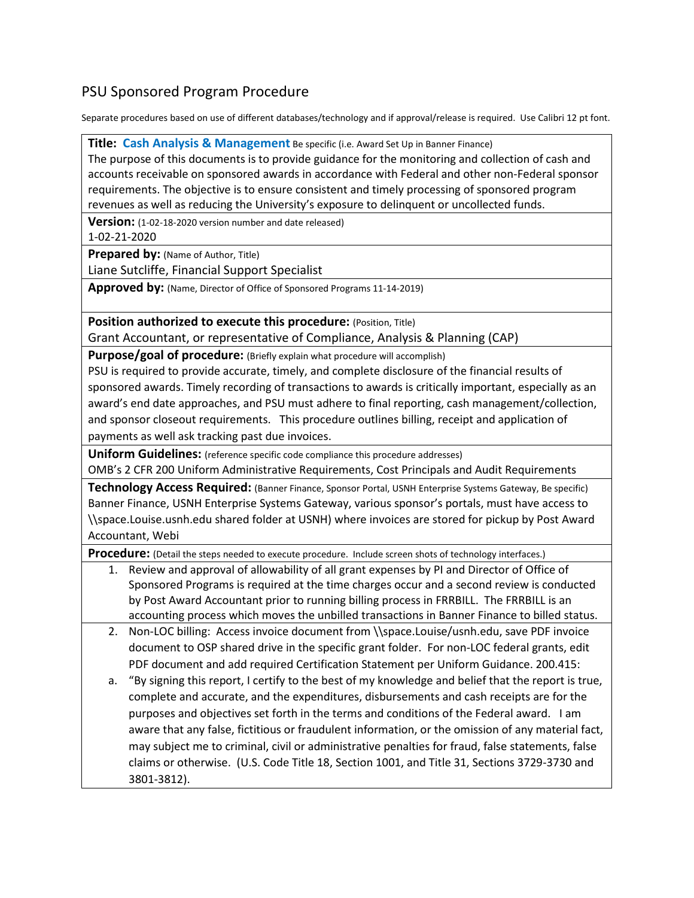## PSU Sponsored Program Procedure

Separate procedures based on use of different databases/technology and if approval/release is required. Use Calibri 12 pt font.

**Title: Cash Analysis & Management** Be specific (i.e. Award Set Up in Banner Finance)

The purpose of this documents is to provide guidance for the monitoring and collection of cash and accounts receivable on sponsored awards in accordance with Federal and other non-Federal sponsor requirements. The objective is to ensure consistent and timely processing of sponsored program revenues as well as reducing the University's exposure to delinquent or uncollected funds.

**Version:** (1-02-18-2020 version number and date released)

1-02-21-2020

**Prepared by:** (Name of Author, Title)

Liane Sutcliffe, Financial Support Specialist

**Approved by:** (Name, Director of Office of Sponsored Programs 11-14-2019)

**Position authorized to execute this procedure:** (Position, Title) Grant Accountant, or representative of Compliance, Analysis & Planning (CAP)

**Purpose/goal of procedure:** (Briefly explain what procedure will accomplish)

PSU is required to provide accurate, timely, and complete disclosure of the financial results of sponsored awards. Timely recording of transactions to awards is critically important, especially as an award's end date approaches, and PSU must adhere to final reporting, cash management/collection, and sponsor closeout requirements. This procedure outlines billing, receipt and application of payments as well ask tracking past due invoices.

**Uniform Guidelines:** (reference specific code compliance this procedure addresses)

OMB's 2 CFR 200 Uniform Administrative Requirements, Cost Principals and Audit Requirements

**Technology Access Required:** (Banner Finance, Sponsor Portal, USNH Enterprise Systems Gateway, Be specific) Banner Finance, USNH Enterprise Systems Gateway, various sponsor's portals, must have access to [\\space.Louise.usnh.edu](file://space.Louise.usnh.edu) shared folder at USNH) where invoices are stored for pickup by Post Award Accountant, Webi

**Procedure:** (Detail the steps needed to execute procedure. Include screen shots of technology interfaces.)

- 1. Review and approval of allowability of all grant expenses by PI and Director of Office of Sponsored Programs is required at the time charges occur and a second review is conducted by Post Award Accountant prior to running billing process in FRRBILL. The FRRBILL is an accounting process which moves the unbilled transactions in Banner Finance to billed status.
- 2. Non-LOC billing: Access invoice document fro[m \\space.Louise/usnh.edu,](file://space.Louise/usnh.edu) save PDF invoice document to OSP shared drive in the specific grant folder. For non-LOC federal grants, edit PDF document and add required Certification Statement per Uniform Guidance. 200.415:
- a. "By signing this report, I certify to the best of my knowledge and belief that the report is true, complete and accurate, and the expenditures, disbursements and cash receipts are for the purposes and objectives set forth in the terms and conditions of the Federal award. I am aware that any false, fictitious or fraudulent information, or the omission of any material fact, may subject me to criminal, civil or administrative penalties for fraud, false statements, false claims or otherwise. (U.S. Code Title 18, Section 1001, and Title 31, Sections 3729-3730 and 3801-3812).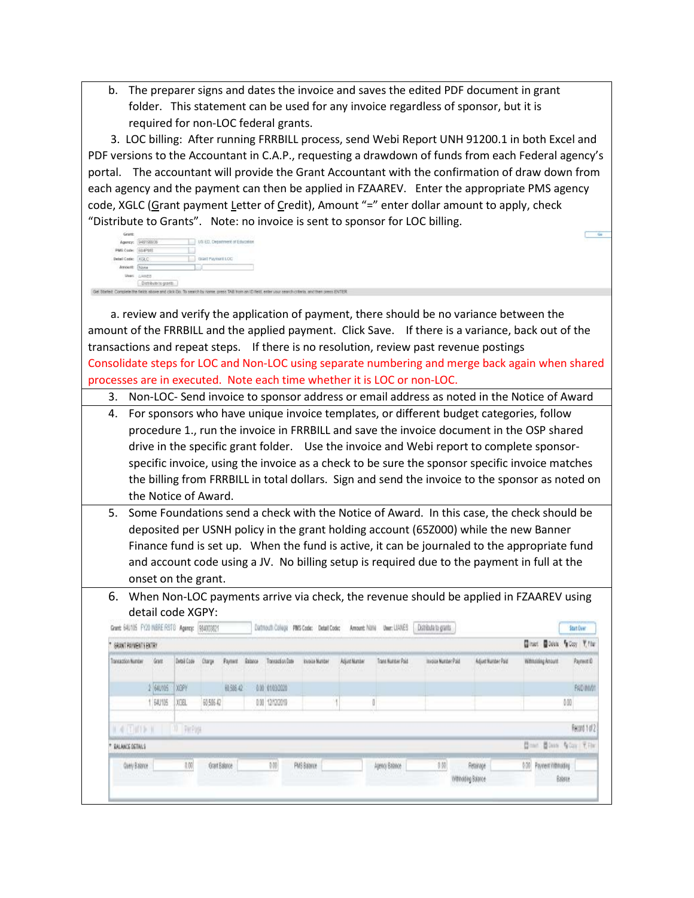b. The preparer signs and dates the invoice and saves the edited PDF document in grant folder. This statement can be used for any invoice regardless of sponsor, but it is required for non-LOC federal grants.

 3. LOC billing: After running FRRBILL process, send Webi Report UNH 91200.1 in both Excel and PDF versions to the Accountant in C.A.P., requesting a drawdown of funds from each Federal agency's portal. The accountant will provide the Grant Accountant with the confirmation of draw down from each agency and the payment can then be applied in FZAAREV. Enter the appropriate PMS agency code, XGLC (Grant payment Letter of Credit), Amount "=" enter dollar amount to apply, check "Distribute to Grants". Note: no invoice is sent to sponsor for LOC billing.

| Grant:               | <b>CONTRACTOR</b>      |                                                                                                                                                 |
|----------------------|------------------------|-------------------------------------------------------------------------------------------------------------------------------------------------|
| Agency:              | 948198936              | US ED. Department of Education<br><b>STORY OF</b><br>NATIONAL WAR STORY                                                                         |
| PMS Code: SSIP103    |                        |                                                                                                                                                 |
| Detail Code: [872 C] |                        | Grant Payment LOC                                                                                                                               |
| Amount: Done         |                        |                                                                                                                                                 |
|                      | User: Litered          |                                                                                                                                                 |
| o and                | Distributo la graviti- |                                                                                                                                                 |
|                      |                        | arted: Consiste the Seids above and click Go. To search by name, press TAB from an ID field, eitler your search criteria, and then press ENTER. |

 a. review and verify the application of payment, there should be no variance between the amount of the FRRBILL and the applied payment. Click Save. If there is a variance, back out of the transactions and repeat steps. If there is no resolution, review past revenue postings Consolidate steps for LOC and Non-LOC using separate numbering and merge back again when shared processes are in executed. Note each time whether it is LOC or non-LOC.

3. Non-LOC- Send invoice to sponsor address or email address as noted in the Notice of Award

- 4. For sponsors who have unique invoice templates, or different budget categories, follow procedure 1., run the invoice in FRRBILL and save the invoice document in the OSP shared drive in the specific grant folder. Use the invoice and Webi report to complete sponsorspecific invoice, using the invoice as a check to be sure the sponsor specific invoice matches the billing from FRRBILL in total dollars. Sign and send the invoice to the sponsor as noted on the Notice of Award.
- 5. Some Foundations send a check with the Notice of Award. In this case, the check should be deposited per USNH policy in the grant holding account (65Z000) while the new Banner Finance fund is set up. When the fund is active, it can be journaled to the appropriate fund and account code using a JV. No billing setup is required due to the payment in full at the onset on the grant.
- 6. When Non-LOC payments arrive via check, the revenue should be applied in FZAAREV using detail code XGPY:

| Ginani Books focus Y, row<br>GRANT PAYMENT'S ENTRY |               |                   |               |                |        |                  |                 |               |                   |                     |                                 |                               |               |
|----------------------------------------------------|---------------|-------------------|---------------|----------------|--------|------------------|-----------------|---------------|-------------------|---------------------|---------------------------------|-------------------------------|---------------|
| Transaction Number<br><b>HARRY COMPANY</b>         | Grant         | Detail Code       | <b>Charge</b> | <b>Payment</b> | Estato | Transaction Date | Invoice Mariber | Adjust Number | Trans Number Paid | Invoice Number Paid | Adjust Number Paid              | Withsiding Amount             | Payment O     |
|                                                    | 640105        | <b>I XGPY</b>     |               | 60.586.42      |        | 0.00 01/03/2020  |                 |               |                   |                     |                                 |                               | PAID INVOT    |
|                                                    | <b>EAU105</b> | XXX               | 60.586.42     |                |        | 0.00 12/12/2019  |                 |               |                   |                     |                                 |                               | 0.00          |
| 4    1          1                                  |               | <b>ID PerPage</b> |               |                |        |                  |                 |               |                   |                     |                                 | <b>Come Blass Gior Y.Fler</b> | Record 1 of 2 |
| <b>BALANCE DETAILS</b>                             |               |                   |               |                |        |                  |                 |               |                   |                     |                                 |                               |               |
| Query Balance                                      |               | 0.00              | Grant Balance |                |        | 0.00             | PMS Balance     |               | Agency Balance    | 0.00                | Retainage<br>Witholding Balance | 5.00 Payment Withholding      | Balance       |